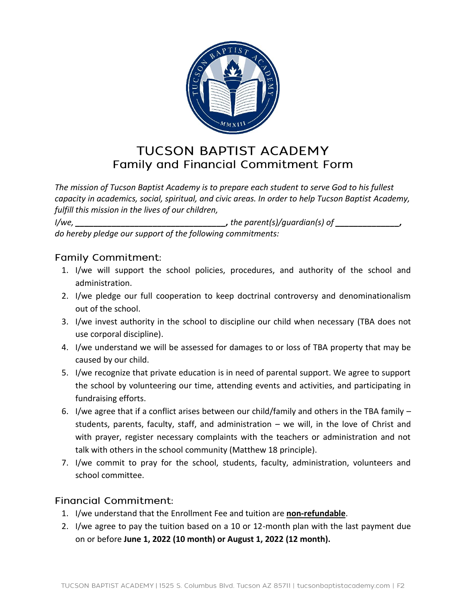

## **TUCSON BAPTIST ACADEMY** Family and Financial Commitment Form

*The mission of Tucson Baptist Academy is to prepare each student to serve God to his fullest capacity in academics, social, spiritual, and civic areas. In order to help Tucson Baptist Academy, fulfill this mission in the lives of our children,* 

*I/we, \_\_\_\_\_\_\_\_\_\_\_\_\_\_\_\_\_\_\_\_\_\_\_\_\_\_\_\_\_\_\_\_\_, the parent(s)/guardian(s) of \_\_\_\_\_\_\_\_\_\_\_\_\_\_, do hereby pledge our support of the following commitments:*

## **Family Commitment:**

- 1. I/we will support the school policies, procedures, and authority of the school and administration.
- 2. I/we pledge our full cooperation to keep doctrinal controversy and denominationalism out of the school.
- 3. I/we invest authority in the school to discipline our child when necessary (TBA does not use corporal discipline).
- 4. I/we understand we will be assessed for damages to or loss of TBA property that may be caused by our child.
- 5. I/we recognize that private education is in need of parental support. We agree to support the school by volunteering our time, attending events and activities, and participating in fundraising efforts.
- 6. I/we agree that if a conflict arises between our child/family and others in the TBA family students, parents, faculty, staff, and administration – we will, in the love of Christ and with prayer, register necessary complaints with the teachers or administration and not talk with others in the school community (Matthew 18 principle).
- 7. I/we commit to pray for the school, students, faculty, administration, volunteers and school committee.

## **Financial Commitment:**

- 1. I/we understand that the Enrollment Fee and tuition are **non-refundable**.
- 2. I/we agree to pay the tuition based on a 10 or 12-month plan with the last payment due on or before **June 1, 2022 (10 month) or August 1, 2022 (12 month).**